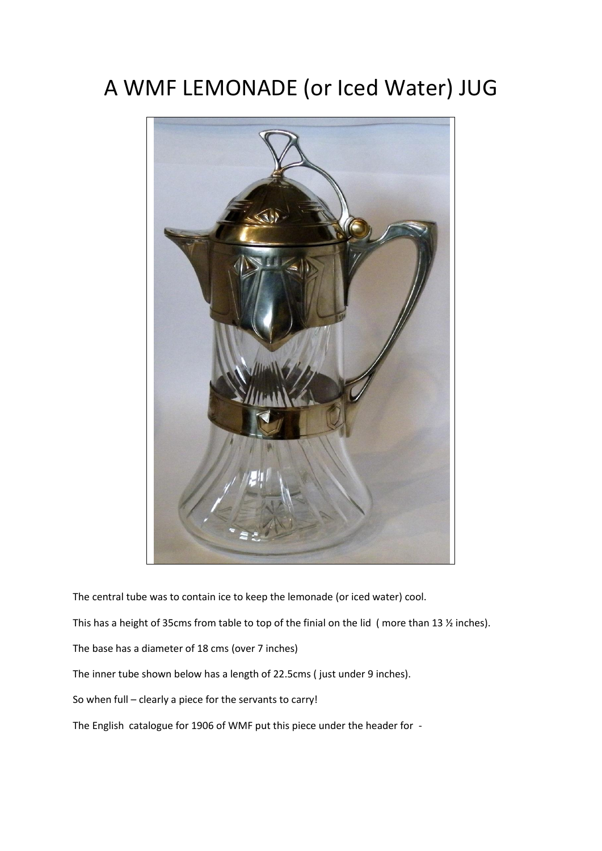## A WMF LEMONADE (or Iced Water) JUG



The central tube was to contain ice to keep the lemonade (or iced water) cool.

This has a height of 35cms from table to top of the finial on the lid ( more than 13 ½ inches).

The base has a diameter of 18 cms (over 7 inches)

The inner tube shown below has a length of 22.5cms ( just under 9 inches).

So when full – clearly a piece for the servants to carry!

The English catalogue for 1906 of WMF put this piece under the header for -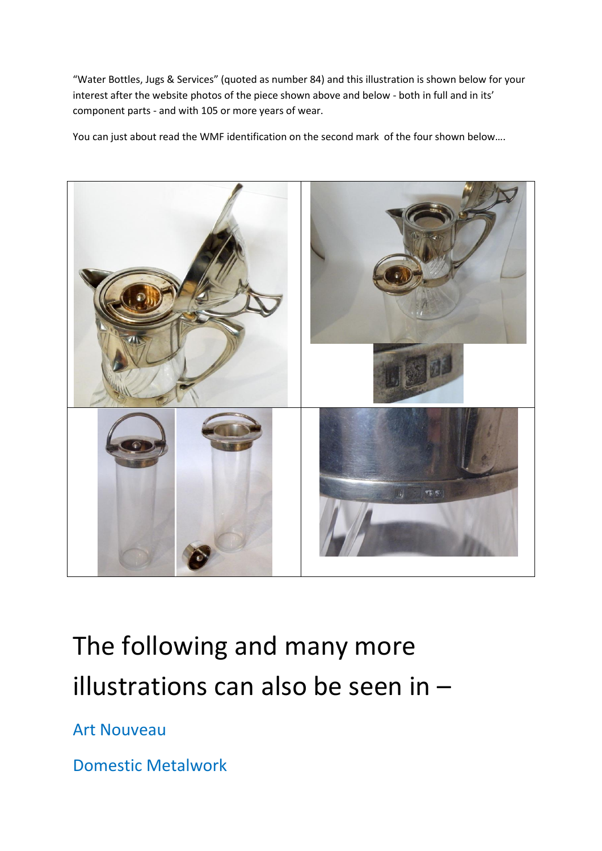"Water Bottles, Jugs & Services" (quoted as number 84) and this illustration is shown below for your interest after the website photos of the piece shown above and below - both in full and in its' component parts - and with 105 or more years of wear.

You can just about read the WMF identification on the second mark of the four shown below....



## The following and many more illustrations can also be seen in –

Art Nouveau

Domestic Metalwork